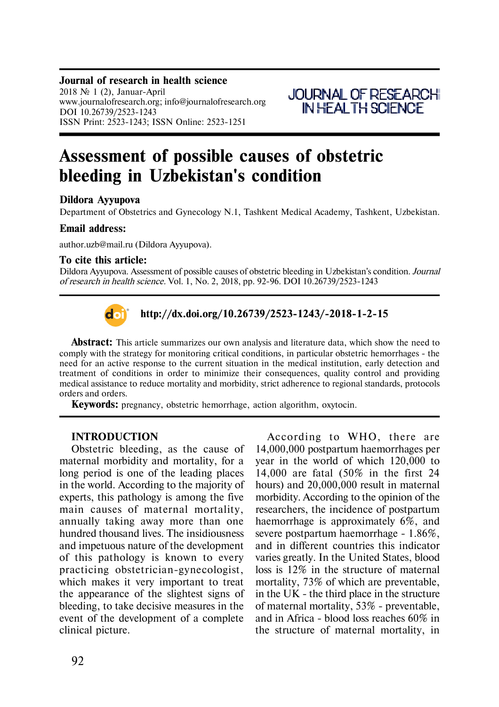## **Journal of research in health science**

 $2018$  No 1 (2), Januar-April www.journalofresearch.org; info@journalofresearch.org DOI 10.26739/2523-1243 ISSN Print: 2523-1243; ISSN Online: 2523-1251



# **Assessment of possible causes of obstetric bleeding in Uzbekistan's condition**

## **Dildora Ayyupova**

Department of Obstetrics and Gynecology N.1, Tashkent Medical Academy, Tashkent, Uzbekistan.

#### **Email address:**

author.uzb@mail.ru (Dildora Ayyupova).

#### **To cite this article:**

Dildora Ayyupova. Assessment of possible causes of obstetric bleeding in Uzbekistan's condition. *Journal of research in health science.* Vol. 1, No. 2, 2018, pp. 92-96. DOI 10.26739/2523-1243



**http://dx.doi.org/10.26739/2523-1243/-2018-1-2-15**

**Abstract:** This article summarizes our own analysis and literature data, which show the need to comply with the strategy for monitoring critical conditions, in particular obstetric hemorrhages - the need for an active response to the current situation in the medical institution, early detection and treatment of conditions in order to minimize their consequences, quality control and providing medical assistance to reduce mortality and morbidity, strict adherence to regional standards, protocols orders and orders.

**Keywords:** pregnancy, obstetric hemorrhage, action algorithm, oxytocin.

### **INTRODUCTION**

Obstetric bleeding, as the cause of maternal morbidity and mortality, for a long period is one of the leading places in the world. According to the majority of experts, this pathology is among the five main causes of maternal mortality, annually taking away more than one hundred thousand lives. The insidiousness and impetuous nature of the development of this pathology is known to every practicing obstetrician-gynecologist, which makes it very important to treat the appearance of the slightest signs of bleeding, to take decisive measures in the event of the development of a complete clinical picture.

According to WHO, there are 14,000,000 postpartum haemorrhages per year in the world of which 120,000 to 14,000 are fatal (50% in the first 24 hours) and 20,000,000 result in maternal morbidity. According to the opinion of the researchers, the incidence of postpartum haemorrhage is approximately 6%, and severe postpartum haemorrhage - 1.86%, and in different countries this indicator varies greatly. In the United States, blood loss is 12% in the structure of maternal mortality, 73% of which are preventable, in the UK - the third place in the structure of maternal mortality, 53% - preventable, and in Africa - blood loss reaches 60% in the structure of maternal mortality, in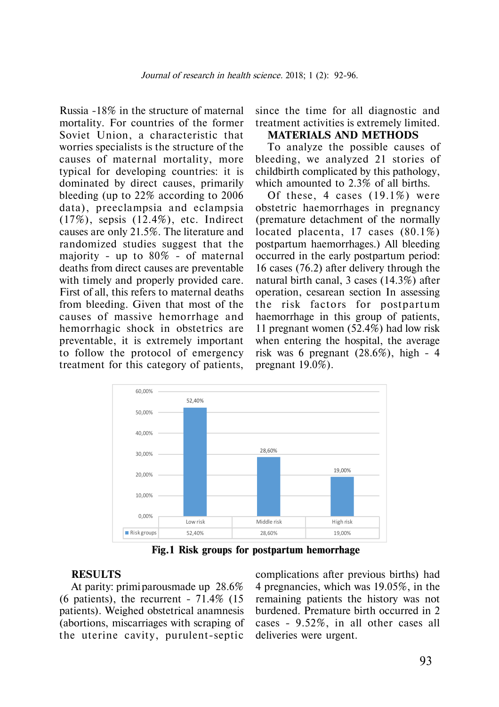Russia -18% in the structure of maternal mortality. For countries of the former Soviet Union, a characteristic that worries specialists is the structure of the causes of maternal mortality, more typical for developing countries: it is dominated by direct causes, primarily bleeding (up to 22% according to 2006 data), preeclampsia and eclampsia (17%), sepsis (12.4%), etc. Indirect causes are only 21.5%. The literature and randomized studies suggest that the majority - up to 80% - of maternal deaths from direct causes are preventable with timely and properly provided care. First of all, this refers to maternal deaths from bleeding. Given that most of the causes of massive hemorrhage and hemorrhagic shock in obstetrics are preventable, it is extremely important to follow the protocol of emergency treatment for this category of patients,

since the time for all diagnostic and treatment activities is extremely limited.

## **MATERIALS AND METHODS**

To analyze the possible causes of bleeding, we analyzed 21 stories of childbirth complicated by this pathology, which amounted to 2.3% of all births.

Of these, 4 cases (19.1%) were obstetric haemorrhages in pregnancy (premature detachment of the normally located placenta, 17 cases (80.1%) postpartum haemorrhages.) All bleeding occurred in the early postpartum period: 16 cases (76.2) after delivery through the natural birth canal, 3 cases (14.3%) after operation, cesarean section In assessing the risk factors for postpartum haemorrhage in this group of patients, 11 pregnant women (52.4%) had low risk when entering the hospital, the average risk was 6 pregnant (28.6%), high - 4 pregnant 19.0%).



**Fig.1 Risk groups for postpartum hemorrhage**

## **RESULTS**

At parity: primi parousmade up 28.6% (6 patients), the recurrent -  $71.4\%$  (15) patients). Weighed obstetrical anamnesis (abortions, miscarriages with scraping of the uterine cavity, purulent-septic

complications after previous births) had 4 pregnancies, which was 19.05%, in the remaining patients the history was not burdened. Premature birth occurred in 2 cases - 9.52%, in all other cases all deliveries were urgent.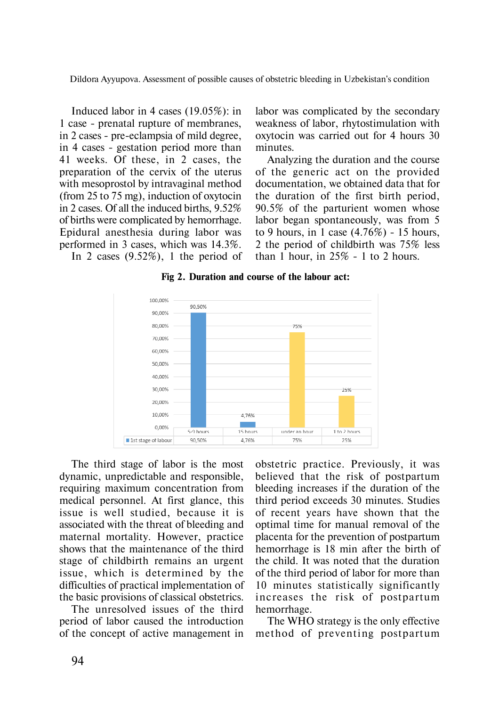Dildora Ayyupova. Assessment of possible causes of obstetric bleeding in Uzbekistan's condition

Induced labor in 4 cases (19.05%): in 1 case - prenatal rupture of membranes, in 2 cases - pre-eclampsia of mild degree, in 4 cases - gestation period more than 41 weeks. Of these, in 2 cases, the preparation of the cervix of the uterus with mesoprostol by intravaginal method (from 25 to 75 mg), induction of oxytocin in 2 cases. Of all the induced births, 9.52% of births were complicated by hemorrhage. Epidural anesthesia during labor was performed in 3 cases, which was 14.3%.

In 2 cases (9.52%), 1 the period of

labor was complicated by the secondary weakness of labor, rhytostimulation with oxytocin was carried out for 4 hours 30 minutes.

Analyzing the duration and the course of the generic act on the provided documentation, we obtained data that for the duration of the first birth period, 90.5% of the parturient women whose labor began spontaneously, was from 5 to 9 hours, in 1 case (4.76%) - 15 hours, 2 the period of childbirth was 75% less than 1 hour, in  $25\%$  - 1 to 2 hours.

**Fig 2. Duration and course of the labour act:**



The third stage of labor is the most dynamic, unpredictable and responsible, requiring maximum concentration from medical personnel. At first glance, this issue is well studied, because it is associated with the threat of bleeding and maternal mortality. However, practice shows that the maintenance of the third stage of childbirth remains an urgent issue, which is determined by the difficulties of practical implementation of the basic provisions of classical obstetrics.

The unresolved issues of the third period of labor caused the introduction of the concept of active management in

obstetric practice. Previously, it was believed that the risk of postpartum bleeding increases if the duration of the third period exceeds 30 minutes. Studies of recent years have shown that the optimal time for manual removal of the placenta for the prevention of postpartum hemorrhage is 18 min after the birth of the child. It was noted that the duration of the third period of labor for more than 10 minutes statistically significantly increases the risk of postpartum hemorrhage.

The WHO strategy is the only effective method of preventing postpartum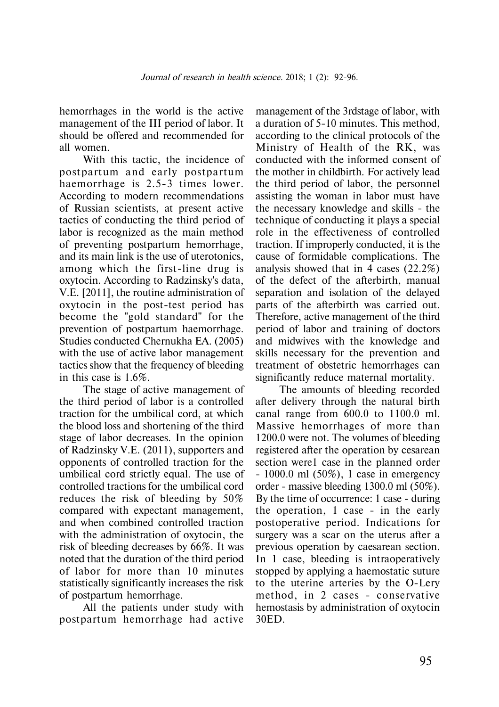hemorrhages in the world is the active management of the III period of labor. It should be offered and recommended for all women.

With this tactic, the incidence of postpartum and early postpartum haemorrhage is 2.5-3 times lower. According to modern recommendations of Russian scientists, at present active tactics of conducting the third period of labor is recognized as the main method of preventing postpartum hemorrhage, and its main link is the use of uterotonics, among which the first-line drug is oxytocin. According to Radzinsky's data, V.E. [2011], the routine administration of oxytocin in the post-test period has become the "gold standard" for the prevention of postpartum haemorrhage. Studies conducted Chernukha EA. (2005) with the use of active labor management tactics show that the frequency of bleeding in this case is 1.6%.

The stage of active management of the third period of labor is a controlled traction for the umbilical cord, at which the blood loss and shortening of the third stage of labor decreases. In the opinion of Radzinsky V.E. (2011), supporters and opponents of controlled traction for the umbilical cord strictly equal. The use of controlled tractions for the umbilical cord reduces the risk of bleeding by 50% compared with expectant management, and when combined controlled traction with the administration of oxytocin, the risk of bleeding decreases by 66%. It was noted that the duration of the third period of labor for more than 10 minutes statistically significantly increases the risk of postpartum hemorrhage.

All the patients under study with postpartum hemorrhage had active

management of the 3rdstage of labor, with a duration of 5-10 minutes. This method, according to the clinical protocols of the Ministry of Health of the RK, was conducted with the informed consent of the mother in childbirth. For actively lead the third period of labor, the personnel assisting the woman in labor must have the necessary knowledge and skills - the technique of conducting it plays a special role in the effectiveness of controlled traction. If improperly conducted, it is the cause of formidable complications. The analysis showed that in 4 cases (22.2%) of the defect of the afterbirth, manual separation and isolation of the delayed parts of the afterbirth was carried out. Therefore, active management of the third period of labor and training of doctors and midwives with the knowledge and skills necessary for the prevention and treatment of obstetric hemorrhages can significantly reduce maternal mortality.

The amounts of bleeding recorded after delivery through the natural birth canal range from 600.0 to 1100.0 ml. Massive hemorrhages of more than 1200.0 were not. The volumes of bleeding registered after the operation by cesarean section were1 case in the planned order - 1000.0 ml (50%), 1 case in emergency order - massive bleeding 1300.0 ml (50%). By the time of occurrence: 1 case - during the operation, 1 case - in the early postoperative period. Indications for surgery was a scar on the uterus after a previous operation by caesarean section. In 1 case, bleeding is intraoperatively stopped by applying a haemostatic suture to the uterine arteries by the O-Lery method, in 2 cases - conservative hemostasis by administration of oxytocin 30ED.